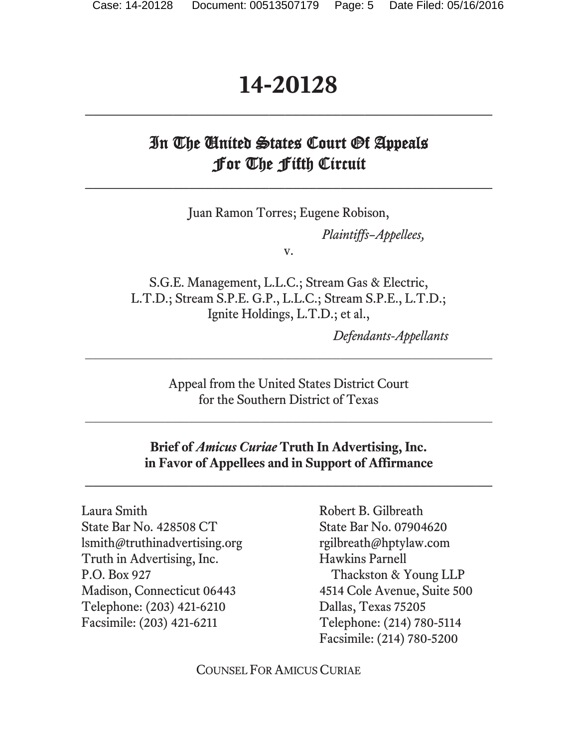# **14-20128 \_\_\_\_\_\_\_\_\_\_\_\_\_\_\_\_\_\_\_\_\_\_\_\_\_\_\_\_\_\_\_\_\_\_\_\_\_\_\_\_\_\_\_\_\_\_\_\_\_\_\_**

# In The United States Court Of Appeals For The Fifth Circuit

 $\mathcal{L}_\mathcal{L} = \{ \mathcal{L}_\mathcal{L} \}$ 

Juan Ramon Torres; Eugene Robison,

*Plaintiffs–Appellees,* 

v.

S.G.E. Management, L.L.C.; Stream Gas & Electric, L.T.D.; Stream S.P.E. G.P., L.L.C.; Stream S.P.E., L.T.D.; Ignite Holdings, L.T.D.; et al.,

*Defendants-Appellants*

Appeal from the United States District Court for the Southern District of Texas

 $\_$ 

 $\mathcal{L}_\text{max}$  and the contract of the contract of the contract of the contract of the contract of the contract of the contract of the contract of the contract of the contract of the contract of the contract of the contrac

**Brief of** *Amicus Curiae* **Truth In Advertising, Inc. in Favor of Appellees and in Support of Affirmance** 

**\_\_\_\_\_\_\_\_\_\_\_\_\_\_\_\_\_\_\_\_\_\_\_\_\_\_\_\_\_\_\_\_\_\_\_\_\_\_\_\_\_\_\_\_\_\_\_\_\_\_\_** 

Laura Smith Robert B. Gilbreath State Bar No. 428508 CT State Bar No. 07904620 lsmith@truthinadvertising.org rgilbreath@hptylaw.com Truth in Advertising, Inc. Hawkins Parnell P.O. Box 927 Thackston & Young LLP Madison, Connecticut 06443 4514 Cole Avenue, Suite 500 Telephone: (203) 421-6210 Dallas, Texas 75205 Facsimile: (203) 421-6211 Telephone: (214) 780-5114

Facsimile: (214) 780-5200

COUNSEL FOR AMICUS CURIAE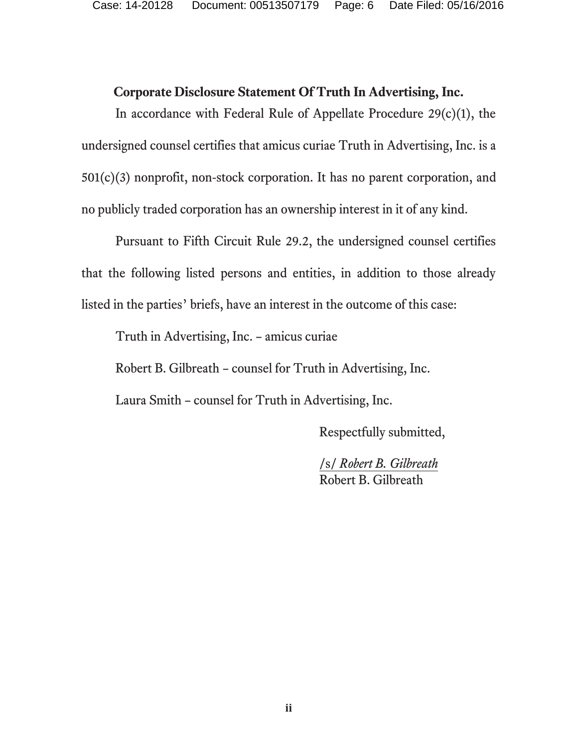#### **Corporate Disclosure Statement Of Truth In Advertising, Inc.**

In accordance with Federal Rule of Appellate Procedure 29(c)(1), the undersigned counsel certifies that amicus curiae Truth in Advertising, Inc. is a 501(c)(3) nonprofit, non-stock corporation. It has no parent corporation, and no publicly traded corporation has an ownership interest in it of any kind.

Pursuant to Fifth Circuit Rule 29.2, the undersigned counsel certifies that the following listed persons and entities, in addition to those already listed in the parties' briefs, have an interest in the outcome of this case:

Truth in Advertising, Inc. – amicus curiae

Robert B. Gilbreath – counsel for Truth in Advertising, Inc.

Laura Smith – counsel for Truth in Advertising, Inc.

Respectfully submitted,

 /s/ *Robert B. Gilbreath*  Robert B. Gilbreath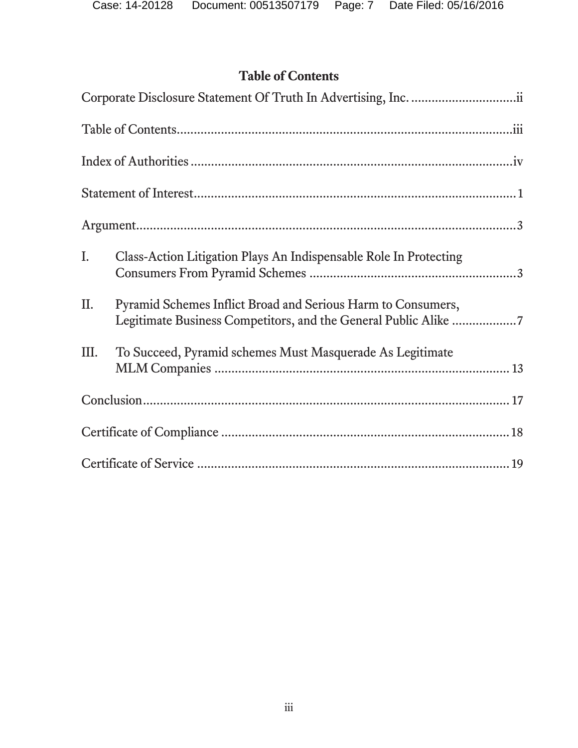# **Table of Contents**

| Ι.   | Class-Action Litigation Plays An Indispensable Role In Protecting                                                               |  |
|------|---------------------------------------------------------------------------------------------------------------------------------|--|
| II.  | Pyramid Schemes Inflict Broad and Serious Harm to Consumers,<br>Legitimate Business Competitors, and the General Public Alike 7 |  |
| III. | To Succeed, Pyramid schemes Must Masquerade As Legitimate                                                                       |  |
|      |                                                                                                                                 |  |
|      |                                                                                                                                 |  |
|      |                                                                                                                                 |  |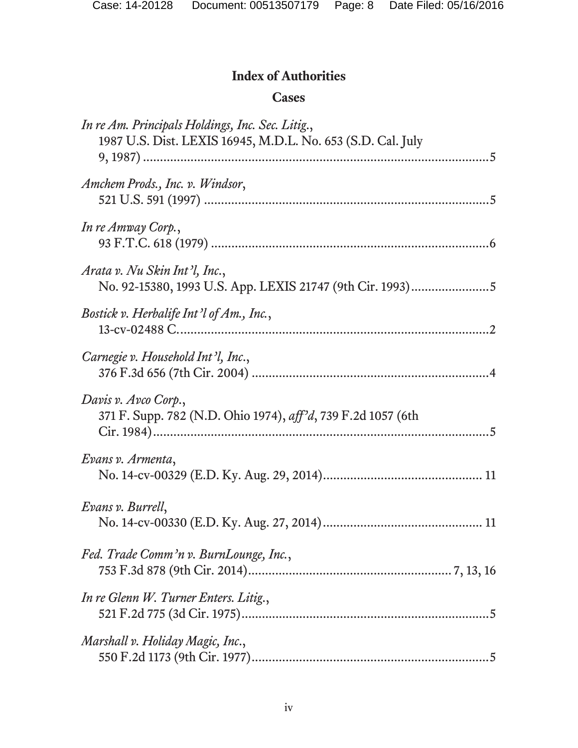# **Index of Authorities**

### **Cases**

| In re Am. Principals Holdings, Inc. Sec. Litig.,<br>1987 U.S. Dist. LEXIS 16945, M.D.L. No. 653 (S.D. Cal. July |
|-----------------------------------------------------------------------------------------------------------------|
| Amchem Prods., Inc. v. Windsor,                                                                                 |
| In re Amway Corp.,                                                                                              |
| Arata v. Nu Skin Int'l, Inc.,<br>No. 92-15380, 1993 U.S. App. LEXIS 21747 (9th Cir. 1993)5                      |
| Bostick v. Herbalife Int'l of Am., Inc.,                                                                        |
| Carnegie v. Household Int'l, Inc.,                                                                              |
| Davis v. Avco Corp.,<br>371 F. Supp. 782 (N.D. Ohio 1974), aff'd, 739 F.2d 1057 (6th                            |
| Evans v. Armenta,                                                                                               |
| Evans v. Burrell,                                                                                               |
| Fed. Trade Comm'n v. BurnLounge, Inc.,                                                                          |
| In re Glenn W. Turner Enters. Litig.,                                                                           |
| Marshall v. Holiday Magic, Inc.,                                                                                |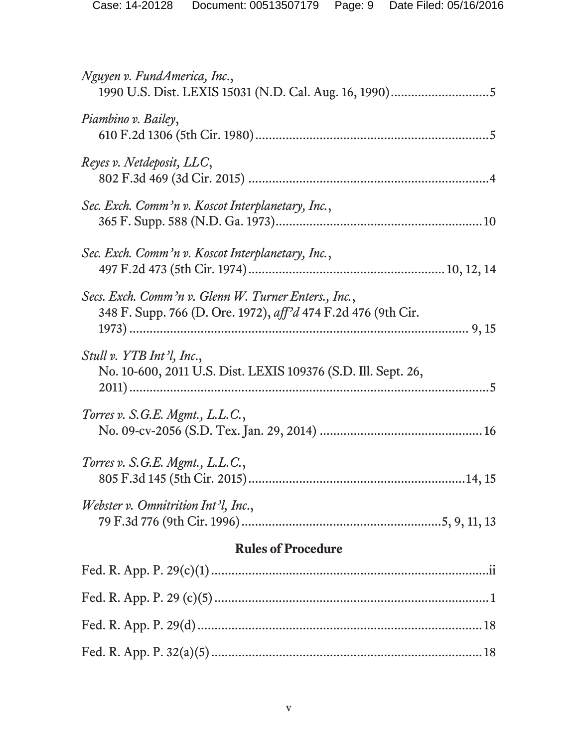| Nguyen v. FundAmerica, Inc.,                                                                                          |  |  |
|-----------------------------------------------------------------------------------------------------------------------|--|--|
| Piambino v. Bailey,                                                                                                   |  |  |
| Reyes v. Netdeposit, LLC,                                                                                             |  |  |
| Sec. Exch. Comm'n v. Koscot Interplanetary, Inc.,                                                                     |  |  |
| Sec. Exch. Comm'n v. Koscot Interplanetary, Inc.,                                                                     |  |  |
| Secs. Exch. Comm'n v. Glenn W. Turner Enters., Inc.,<br>348 F. Supp. 766 (D. Ore. 1972), aff'd 474 F.2d 476 (9th Cir. |  |  |
| Stull v. YTB Int'l, Inc.,<br>No. 10-600, 2011 U.S. Dist. LEXIS 109376 (S.D. Ill. Sept. 26,                            |  |  |
| Torres v. S.G.E. Mgmt., L.L.C.,                                                                                       |  |  |
| Torres v. S.G.E. Mgmt., L.L.C.,                                                                                       |  |  |
| Webster v. Omnitrition Int'l, Inc.,                                                                                   |  |  |
| <b>Rules of Procedure</b>                                                                                             |  |  |
|                                                                                                                       |  |  |
|                                                                                                                       |  |  |
|                                                                                                                       |  |  |
|                                                                                                                       |  |  |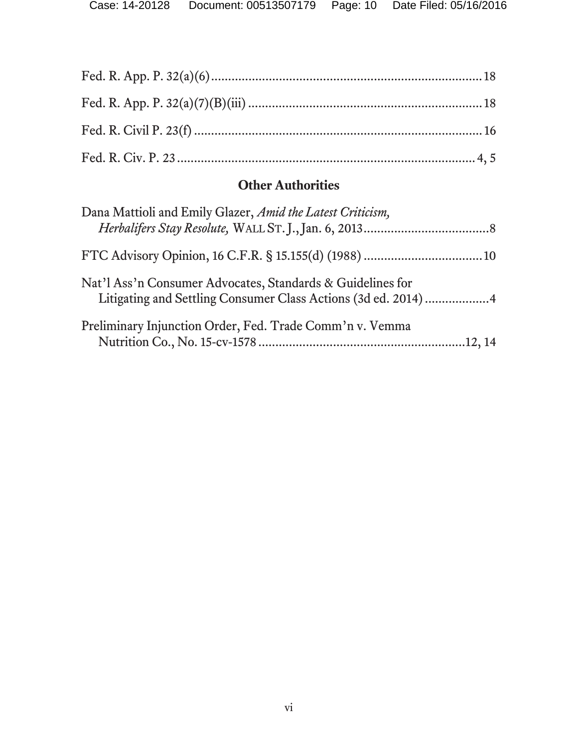# **Other Authorities**

| Dana Mattioli and Emily Glazer, Amid the Latest Criticism, |
|------------------------------------------------------------|
|                                                            |
| Nat'l Ass'n Consumer Advocates, Standards & Guidelines for |
| Preliminary Injunction Order, Fed. Trade Comm'n v. Vemma   |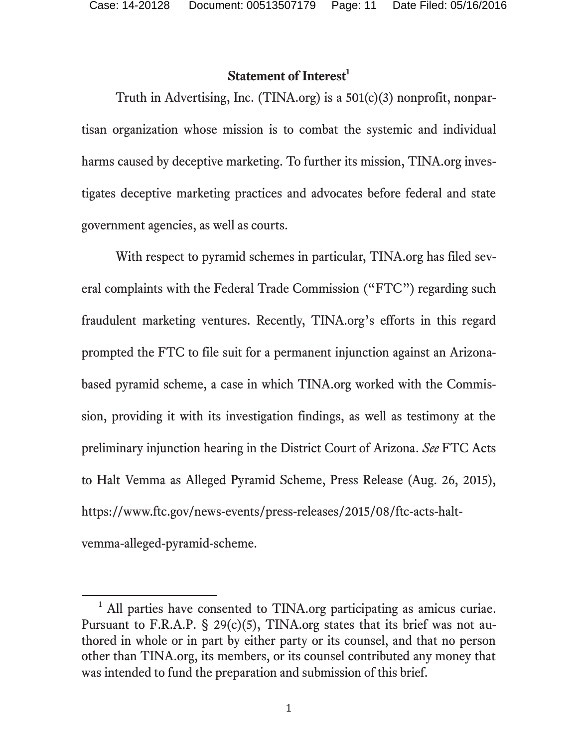$\overline{a}$ 

## **Statement of Interest**<sup>1</sup>

Truth in Advertising, Inc. (TINA.org) is a 501(c)(3) nonprofit, nonpartisan organization whose mission is to combat the systemic and individual harms caused by deceptive marketing. To further its mission, TINA.org investigates deceptive marketing practices and advocates before federal and state government agencies, as well as courts.

With respect to pyramid schemes in particular, TINA.org has filed several complaints with the Federal Trade Commission ("FTC") regarding such fraudulent marketing ventures. Recently, TINA.org's efforts in this regard prompted the FTC to file suit for a permanent injunction against an Arizonabased pyramid scheme, a case in which TINA.org worked with the Commission, providing it with its investigation findings, as well as testimony at the preliminary injunction hearing in the District Court of Arizona. *See* FTC Acts to Halt Vemma as Alleged Pyramid Scheme, Press Release (Aug. 26, 2015), https://www.ftc.gov/news-events/press-releases/2015/08/ftc-acts-haltvemma-alleged-pyramid-scheme.

<sup>&</sup>lt;sup>1</sup> All parties have consented to TINA.org participating as amicus curiae. Pursuant to F.R.A.P.  $\S$  29(c)(5), TINA.org states that its brief was not authored in whole or in part by either party or its counsel, and that no person other than TINA.org, its members, or its counsel contributed any money that was intended to fund the preparation and submission of this brief.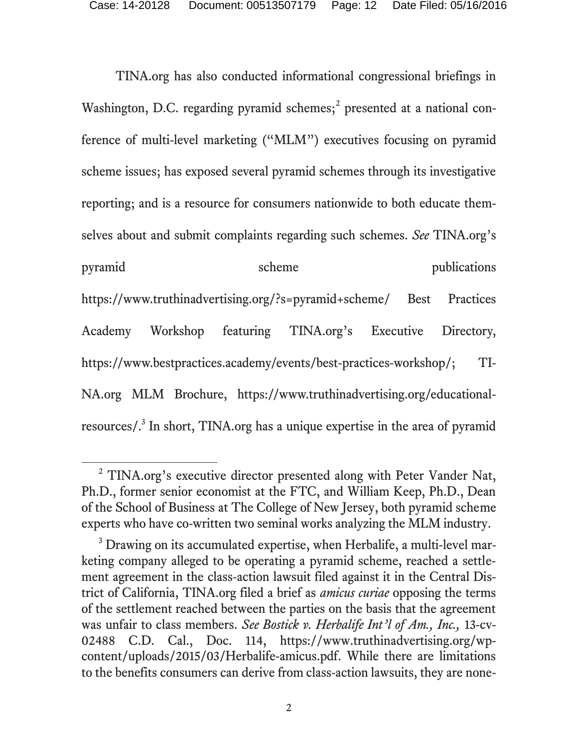TINA.org has also conducted informational congressional briefings in Washington, D.C. regarding pyramid schemes;<sup>2</sup> presented at a national conference of multi-level marketing ("MLM") executives focusing on pyramid scheme issues; has exposed several pyramid schemes through its investigative reporting; and is a resource for consumers nationwide to both educate themselves about and submit complaints regarding such schemes. *See* TINA.org's pyramid scheme publications https://www.truthinadvertising.org/?s=pyramid+scheme/ Best Practices Academy Workshop featuring TINA.org's Executive Directory, https://www.bestpractices.academy/events/best-practices-workshop/; TI-NA.org MLM Brochure, https://www.truthinadvertising.org/educationalresources/.<sup>3</sup> In short, TINA.org has a unique expertise in the area of pyramid

l

<sup>&</sup>lt;sup>2</sup> TINA.org's executive director presented along with Peter Vander Nat, Ph.D., former senior economist at the FTC, and William Keep, Ph.D., Dean of the School of Business at The College of New Jersey, both pyramid scheme experts who have co-written two seminal works analyzing the MLM industry.

<sup>&</sup>lt;sup>3</sup> Drawing on its accumulated expertise, when Herbalife, a multi-level marketing company alleged to be operating a pyramid scheme, reached a settlement agreement in the class-action lawsuit filed against it in the Central District of California, TINA.org filed a brief as *amicus curiae* opposing the terms of the settlement reached between the parties on the basis that the agreement was unfair to class members. *See Bostick v. Herbalife Int'l of Am., Inc.,* 13-cv-02488 C.D. Cal., Doc. 114, https://www.truthinadvertising.org/wpcontent/uploads/2015/03/Herbalife-amicus.pdf. While there are limitations to the benefits consumers can derive from class-action lawsuits, they are none-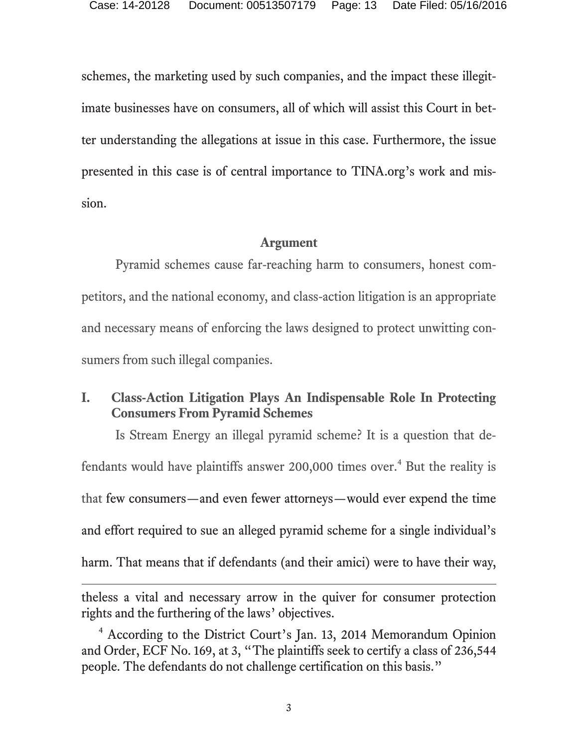schemes, the marketing used by such companies, and the impact these illegitimate businesses have on consumers, all of which will assist this Court in better understanding the allegations at issue in this case. Furthermore, the issue presented in this case is of central importance to TINA.org's work and mission.

#### **Argument**

 Pyramid schemes cause far-reaching harm to consumers, honest competitors, and the national economy, and class-action litigation is an appropriate and necessary means of enforcing the laws designed to protect unwitting consumers from such illegal companies.

### **I. Class-Action Litigation Plays An Indispensable Role In Protecting Consumers From Pyramid Schemes**

Is Stream Energy an illegal pyramid scheme? It is a question that defendants would have plaintiffs answer 200,000 times over.<sup>4</sup> But the reality is that few consumers—and even fewer attorneys—would ever expend the time and effort required to sue an alleged pyramid scheme for a single individual's harm. That means that if defendants (and their amici) were to have their way,

theless a vital and necessary arrow in the quiver for consumer protection rights and the furthering of the laws' objectives.

 $\overline{a}$ 

4 According to the District Court's Jan. 13, 2014 Memorandum Opinion and Order, ECF No. 169, at 3, "The plaintiffs seek to certify a class of 236,544 people. The defendants do not challenge certification on this basis."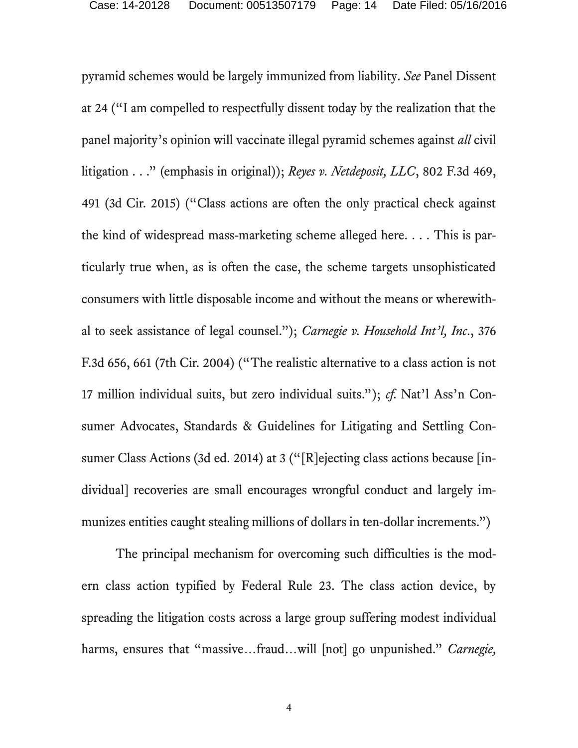pyramid schemes would be largely immunized from liability. *See* Panel Dissent at 24 ("I am compelled to respectfully dissent today by the realization that the panel majority's opinion will vaccinate illegal pyramid schemes against *all* civil litigation . . ." (emphasis in original)); *Reyes v. Netdeposit, LLC*, 802 F.3d 469, 491 (3d Cir. 2015) ("Class actions are often the only practical check against the kind of widespread mass-marketing scheme alleged here. . . . This is particularly true when, as is often the case, the scheme targets unsophisticated consumers with little disposable income and without the means or wherewithal to seek assistance of legal counsel."); *Carnegie v. Household Int'l, Inc*., 376 F.3d 656, 661 (7th Cir. 2004) ("The realistic alternative to a class action is not 17 million individual suits, but zero individual suits."); *cf.* Nat'l Ass'n Consumer Advocates, Standards & Guidelines for Litigating and Settling Consumer Class Actions (3d ed. 2014) at 3 ("[R]ejecting class actions because [individual] recoveries are small encourages wrongful conduct and largely immunizes entities caught stealing millions of dollars in ten-dollar increments.")

The principal mechanism for overcoming such difficulties is the modern class action typified by Federal Rule 23. The class action device, by spreading the litigation costs across a large group suffering modest individual harms, ensures that "massive...fraud...will [not] go unpunished." *Carnegie*,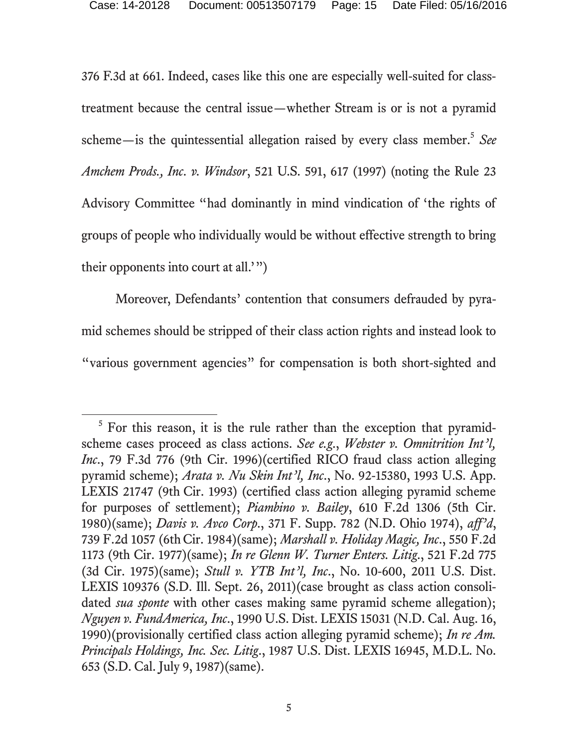376 F.3d at 661. Indeed, cases like this one are especially well-suited for classtreatment because the central issue—whether Stream is or is not a pyramid scheme—is the quintessential allegation raised by every class member.<sup>5</sup> See *Amchem Prods., Inc. v. Windsor*, 521 U.S. 591, 617 (1997) (noting the Rule 23 Advisory Committee "had dominantly in mind vindication of 'the rights of groups of people who individually would be without effective strength to bring their opponents into court at all.'")

Moreover, Defendants' contention that consumers defrauded by pyramid schemes should be stripped of their class action rights and instead look to "various government agencies" for compensation is both short-sighted and

l

 $5$  For this reason, it is the rule rather than the exception that pyramidscheme cases proceed as class actions. *See e.g*., *Webster v. Omnitrition Int'l, Inc.*, 79 F.3d 776 (9th Cir. 1996)(certified RICO fraud class action alleging pyramid scheme); *Arata v. Nu Skin Int'l, Inc*., No. 92-15380, 1993 U.S. App. LEXIS 21747 (9th Cir. 1993) (certified class action alleging pyramid scheme for purposes of settlement); *Piambino v. Bailey*, 610 F.2d 1306 (5th Cir. 1980)(same); *Davis v. Avco Corp*., 371 F. Supp. 782 (N.D. Ohio 1974), *aff'd*, 739 F.2d 1057 (6thCir. 1984)(same); *Marshall v. Holiday Magic, Inc*., 550 F.2d 1173 (9th Cir. 1977)(same); *In re Glenn W. Turner Enters. Litig*., 521 F.2d 775 (3d Cir. 1975)(same); *Stull v. YTB Int'l, Inc*., No. 10-600, 2011 U.S. Dist. LEXIS 109376 (S.D. Ill. Sept. 26, 2011)(case brought as class action consolidated *sua sponte* with other cases making same pyramid scheme allegation); *Nguyen v. FundAmerica, Inc*., 1990 U.S. Dist. LEXIS 15031 (N.D. Cal. Aug. 16, 1990)(provisionally certified class action alleging pyramid scheme); *In re Am. Principals Holdings, Inc. Sec. Litig*., 1987 U.S. Dist. LEXIS 16945, M.D.L. No. 653 (S.D. Cal. July 9, 1987)(same).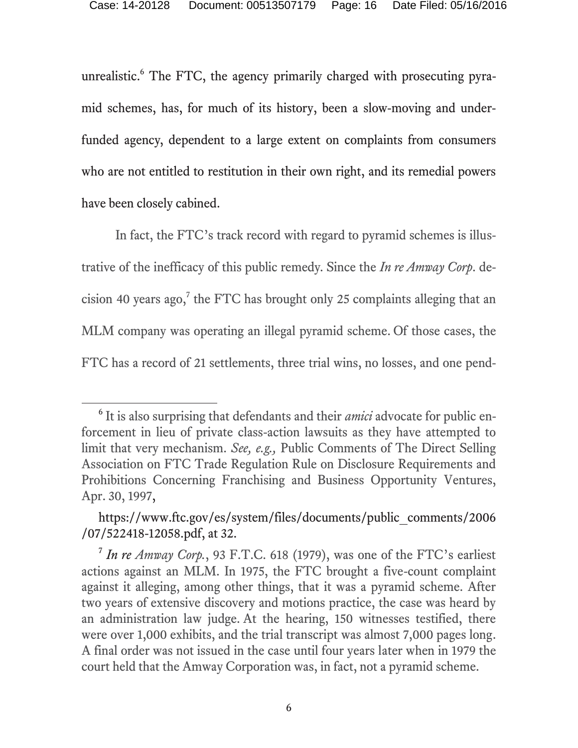unrealistic.<sup>6</sup> The FTC, the agency primarily charged with prosecuting pyramid schemes, has, for much of its history, been a slow-moving and underfunded agency, dependent to a large extent on complaints from consumers who are not entitled to restitution in their own right, and its remedial powers have been closely cabined.

In fact, the FTC's track record with regard to pyramid schemes is illustrative of the inefficacy of this public remedy. Since the *In re Amway Corp*. de $cision 40 years ago, <sup>7</sup> the FTC has brought only 25 complaints alleging that an$ MLM company was operating an illegal pyramid scheme. Of those cases, the FTC has a record of 21 settlements, three trial wins, no losses, and one pend-

l

<sup>6</sup> It is also surprising that defendants and their *amici* advocate for public enforcement in lieu of private class-action lawsuits as they have attempted to limit that very mechanism. *See, e.g.,* Public Comments of The Direct Selling Association on FTC Trade Regulation Rule on Disclosure Requirements and Prohibitions Concerning Franchising and Business Opportunity Ventures, Apr. 30, 1997,

https://www.ftc.gov/es/system/files/documents/public\_comments/2006 /07/522418-12058.pdf, at 32.

<sup>7</sup> *In re Amway Corp.*, 93 F.T.C. 618 (1979), was one of the FTC's earliest actions against an MLM. In 1975, the FTC brought a five-count complaint against it alleging, among other things, that it was a pyramid scheme. After two years of extensive discovery and motions practice, the case was heard by an administration law judge. At the hearing, 150 witnesses testified, there were over 1,000 exhibits, and the trial transcript was almost 7,000 pages long. A final order was not issued in the case until four years later when in 1979 the court held that the Amway Corporation was, in fact, not a pyramid scheme.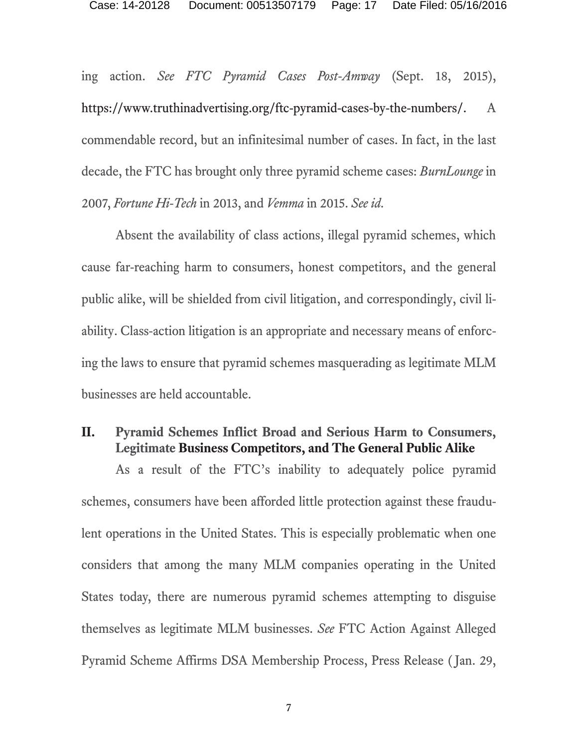ing action. *See FTC Pyramid Cases Post-Amway* (Sept. 18, 2015), https://www.truthinadvertising.org/ftc-pyramid-cases-by-the-numbers/. A commendable record, but an infinitesimal number of cases. In fact, in the last decade, the FTC has brought only three pyramid scheme cases: *BurnLounge* in 2007, *Fortune Hi-Tech* in 2013, and *Vemma* in 2015. *See id.* 

Absent the availability of class actions, illegal pyramid schemes, which cause far-reaching harm to consumers, honest competitors, and the general public alike, will be shielded from civil litigation, and correspondingly, civil liability. Class-action litigation is an appropriate and necessary means of enforcing the laws to ensure that pyramid schemes masquerading as legitimate MLM businesses are held accountable.

#### **II. Pyramid Schemes Inflict Broad and Serious Harm to Consumers, Legitimate Business Competitors, and The General Public Alike**

As a result of the FTC's inability to adequately police pyramid schemes, consumers have been afforded little protection against these fraudulent operations in the United States. This is especially problematic when one considers that among the many MLM companies operating in the United States today, there are numerous pyramid schemes attempting to disguise themselves as legitimate MLM businesses. *See* FTC Action Against Alleged Pyramid Scheme Affirms DSA Membership Process, Press Release ( Jan. 29,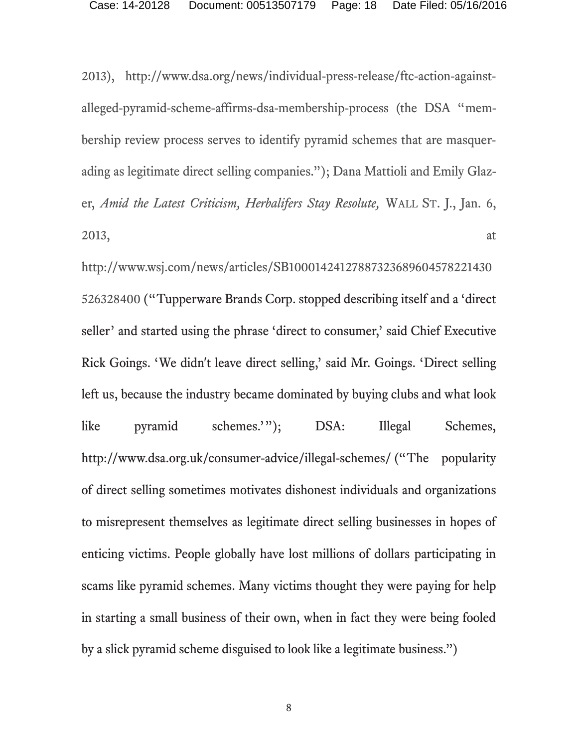2013), http://www.dsa.org/news/individual-press-release/ftc-action-againstalleged-pyramid-scheme-affirms-dsa-membership-process (the DSA "membership review process serves to identify pyramid schemes that are masquerading as legitimate direct selling companies."); Dana Mattioli and Emily Glazer, *Amid the Latest Criticism, Herbalifers Stay Resolute,* WALL ST. J., Jan. 6,  $2013$ , at

http://www.wsj.com/news/articles/SB10001424127887323689604578221430 526328400 ("Tupperware Brands Corp. stopped describing itself and a 'direct seller' and started using the phrase 'direct to consumer,' said Chief Executive Rick Goings. 'We didn't leave direct selling,' said Mr. Goings. 'Direct selling left us, because the industry became dominated by buying clubs and what look like pyramid schemes.'"); DSA: Illegal Schemes, http://www.dsa.org.uk/consumer-advice/illegal-schemes/ ("The popularity of direct selling sometimes motivates dishonest individuals and organizations to misrepresent themselves as legitimate direct selling businesses in hopes of enticing victims. People globally have lost millions of dollars participating in scams like pyramid schemes. Many victims thought they were paying for help in starting a small business of their own, when in fact they were being fooled by a slick pyramid scheme disguised to look like a legitimate business.")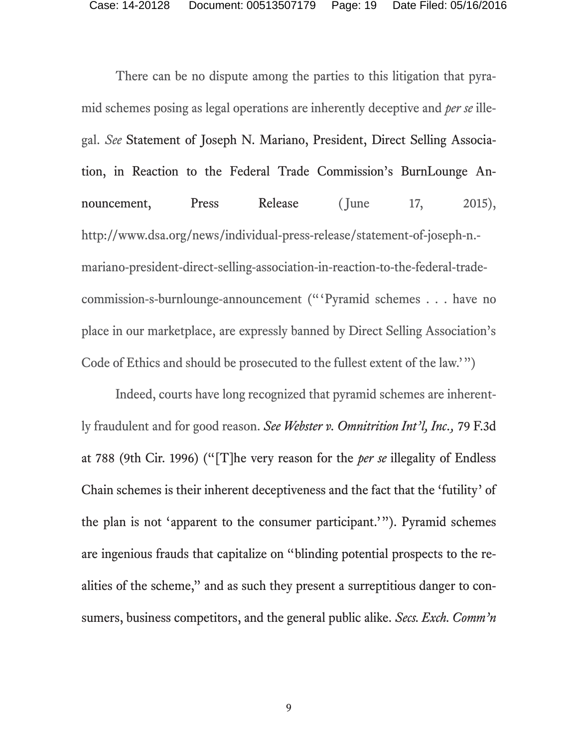There can be no dispute among the parties to this litigation that pyramid schemes posing as legal operations are inherently deceptive and *per se* illegal. *See* Statement of Joseph N. Mariano, President, Direct Selling Association, in Reaction to the Federal Trade Commission's BurnLounge Announcement, Press Release (June 17, 2015), http://www.dsa.org/news/individual-press-release/statement-of-joseph-n. mariano-president-direct-selling-association-in-reaction-to-the-federal-tradecommission-s-burnlounge-announcement ("'Pyramid schemes . . . have no place in our marketplace, are expressly banned by Direct Selling Association's Code of Ethics and should be prosecuted to the fullest extent of the law.'")

Indeed, courts have long recognized that pyramid schemes are inherently fraudulent and for good reason. *See Webster v. Omnitrition Int'l, Inc.,* 79 F.3d at 788 (9th Cir. 1996) ("[T]he very reason for the *per se* illegality of Endless Chain schemes is their inherent deceptiveness and the fact that the 'futility' of the plan is not 'apparent to the consumer participant.'"). Pyramid schemes are ingenious frauds that capitalize on "blinding potential prospects to the realities of the scheme," and as such they present a surreptitious danger to consumers, business competitors, and the general public alike. *Secs. Exch. Comm'n*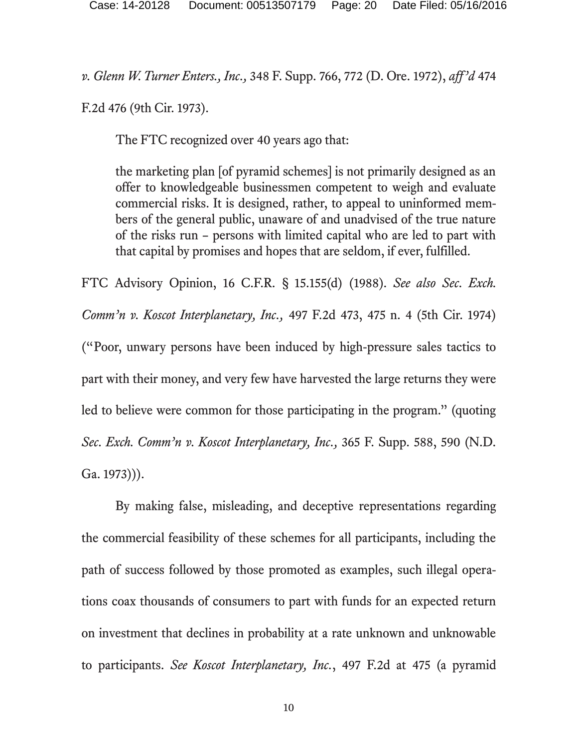*v. Glenn W. Turner Enters., Inc.,* 348 F. Supp. 766, 772 (D. Ore. 1972), *aff'd* 474

F.2d 476 (9th Cir. 1973).

The FTC recognized over 40 years ago that:

the marketing plan [of pyramid schemes] is not primarily designed as an offer to knowledgeable businessmen competent to weigh and evaluate commercial risks. It is designed, rather, to appeal to uninformed members of the general public, unaware of and unadvised of the true nature of the risks run – persons with limited capital who are led to part with that capital by promises and hopes that are seldom, if ever, fulfilled.

FTC Advisory Opinion, 16 C.F.R. § 15.155(d) (1988). *See also Sec. Exch. Comm'n v. Koscot Interplanetary, Inc.,* 497 F.2d 473, 475 n. 4 (5th Cir. 1974) ("Poor, unwary persons have been induced by high-pressure sales tactics to part with their money, and very few have harvested the large returns they were led to believe were common for those participating in the program." (quoting *Sec. Exch. Comm'n v. Koscot Interplanetary, Inc.,* 365 F. Supp. 588, 590 (N.D. Ga. 1973))).

By making false, misleading, and deceptive representations regarding the commercial feasibility of these schemes for all participants, including the path of success followed by those promoted as examples, such illegal operations coax thousands of consumers to part with funds for an expected return on investment that declines in probability at a rate unknown and unknowable to participants. *See Koscot Interplanetary, Inc.*, 497 F.2d at 475 (a pyramid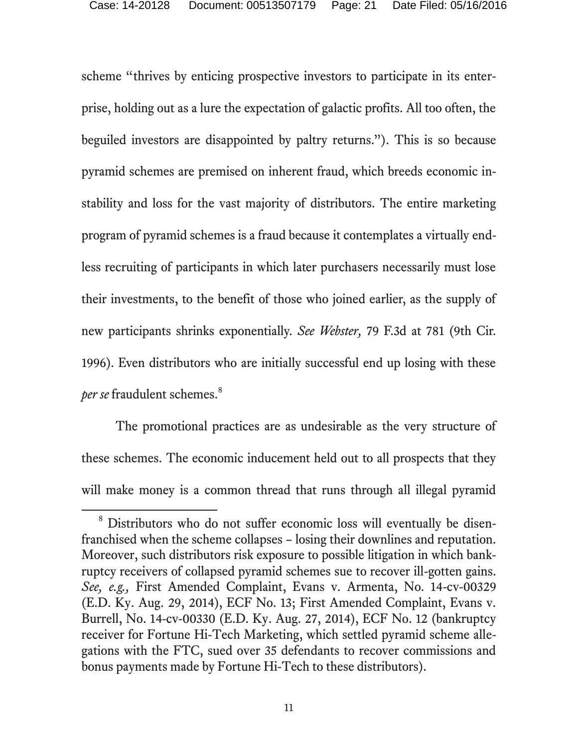scheme "thrives by enticing prospective investors to participate in its enterprise, holding out as a lure the expectation of galactic profits. All too often, the beguiled investors are disappointed by paltry returns."). This is so because pyramid schemes are premised on inherent fraud, which breeds economic instability and loss for the vast majority of distributors. The entire marketing program of pyramid schemes is a fraud because it contemplates a virtually endless recruiting of participants in which later purchasers necessarily must lose their investments, to the benefit of those who joined earlier, as the supply of new participants shrinks exponentially. *See Webster,* 79 F.3d at 781 (9th Cir. 1996). Even distributors who are initially successful end up losing with these per se fraudulent schemes.<sup>8</sup>

The promotional practices are as undesirable as the very structure of these schemes. The economic inducement held out to all prospects that they will make money is a common thread that runs through all illegal pyramid

 $\overline{a}$ 

<sup>&</sup>lt;sup>8</sup> Distributors who do not suffer economic loss will eventually be disenfranchised when the scheme collapses – losing their downlines and reputation. Moreover, such distributors risk exposure to possible litigation in which bankruptcy receivers of collapsed pyramid schemes sue to recover ill-gotten gains. *See, e.g.,* First Amended Complaint, Evans v. Armenta, No. 14-cv-00329 (E.D. Ky. Aug. 29, 2014), ECF No. 13; First Amended Complaint, Evans v. Burrell, No. 14-cv-00330 (E.D. Ky. Aug. 27, 2014), ECF No. 12 (bankruptcy receiver for Fortune Hi-Tech Marketing, which settled pyramid scheme allegations with the FTC, sued over 35 defendants to recover commissions and bonus payments made by Fortune Hi-Tech to these distributors).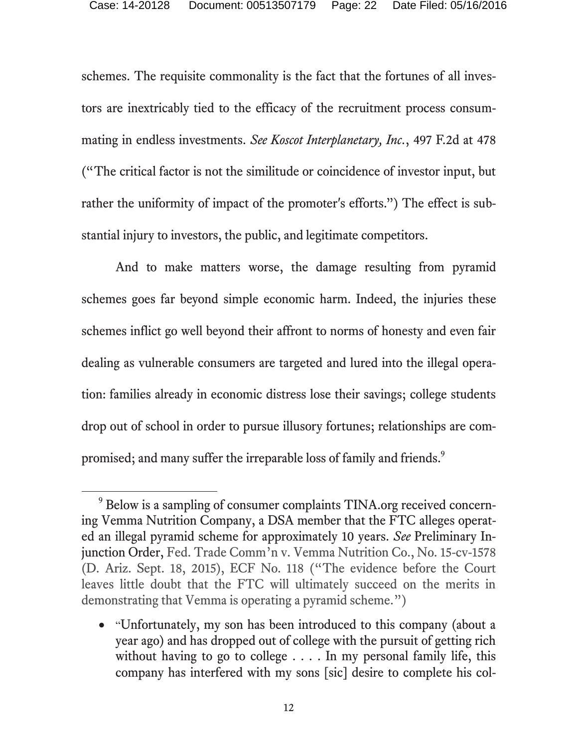schemes. The requisite commonality is the fact that the fortunes of all investors are inextricably tied to the efficacy of the recruitment process consummating in endless investments. *See Koscot Interplanetary, Inc.*, 497 F.2d at 478 ("The critical factor is not the similitude or coincidence of investor input, but rather the uniformity of impact of the promoter's efforts.") The effect is substantial injury to investors, the public, and legitimate competitors.

And to make matters worse, the damage resulting from pyramid schemes goes far beyond simple economic harm. Indeed, the injuries these schemes inflict go well beyond their affront to norms of honesty and even fair dealing as vulnerable consumers are targeted and lured into the illegal operation: families already in economic distress lose their savings; college students drop out of school in order to pursue illusory fortunes; relationships are compromised; and many suffer the irreparable loss of family and friends.<sup>9</sup>

 $\overline{a}$ 

<sup>&</sup>lt;sup>9</sup> Below is a sampling of consumer complaints TINA.org received concerning Vemma Nutrition Company, a DSA member that the FTC alleges operated an illegal pyramid scheme for approximately 10 years. *See* Preliminary Injunction Order, Fed. Trade Comm'n v. Vemma Nutrition Co., No. 15-cv-1578 (D. Ariz. Sept. 18, 2015), ECF No. 118 ("The evidence before the Court leaves little doubt that the FTC will ultimately succeed on the merits in demonstrating that Vemma is operating a pyramid scheme.")

<sup>• &</sup>quot;Unfortunately, my son has been introduced to this company (about a year ago) and has dropped out of college with the pursuit of getting rich without having to go to college . . . . In my personal family life, this company has interfered with my sons [sic] desire to complete his col-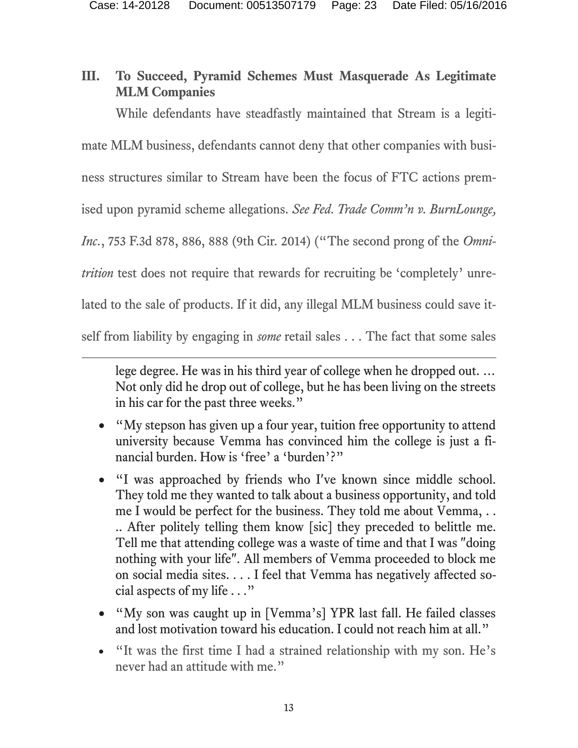### **III. To Succeed, Pyramid Schemes Must Masquerade As Legitimate MLM Companies**

While defendants have steadfastly maintained that Stream is a legiti-

mate MLM business, defendants cannot deny that other companies with busi-

ness structures similar to Stream have been the focus of FTC actions prem-

ised upon pyramid scheme allegations. *See Fed. Trade Comm'n v. BurnLounge,* 

*Inc.*, 753 F.3d 878, 886, 888 (9th Cir. 2014) ("The second prong of the *Omni-*

*trition* test does not require that rewards for recruiting be 'completely' unre-

lated to the sale of products. If it did, any illegal MLM business could save it-

self from liability by engaging in *some* retail sales . . . The fact that some sales

 $\overline{a}$ 

lege degree. He was in his third year of college when he dropped out. … Not only did he drop out of college, but he has been living on the streets in his car for the past three weeks."

- "My stepson has given up a four year, tuition free opportunity to attend university because Vemma has convinced him the college is just a financial burden. How is 'free' a 'burden'?"
- "I was approached by friends who I've known since middle school. They told me they wanted to talk about a business opportunity, and told me I would be perfect for the business. They told me about Vemma, . . .. After politely telling them know [sic] they preceded to belittle me. Tell me that attending college was a waste of time and that I was "doing nothing with your life". All members of Vemma proceeded to block me on social media sites. . . . I feel that Vemma has negatively affected social aspects of my life . . ."
- "My son was caught up in [Vemma's] YPR last fall. He failed classes and lost motivation toward his education. I could not reach him at all."
- "It was the first time I had a strained relationship with my son. He's never had an attitude with me."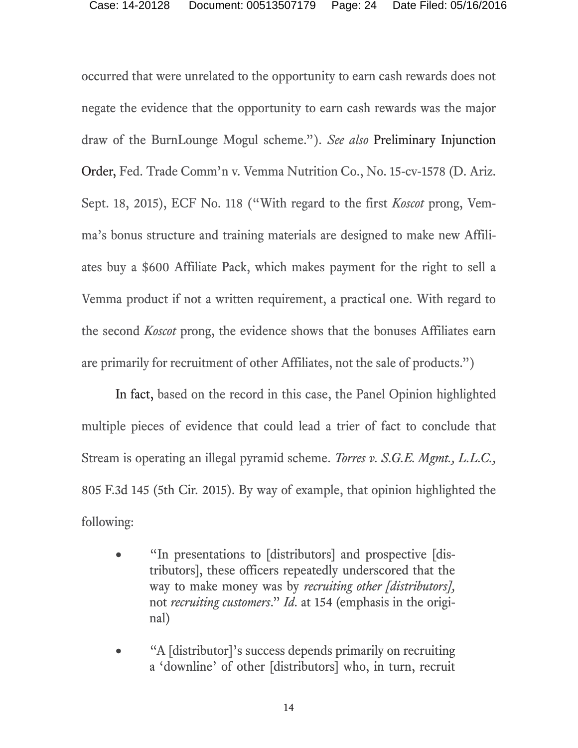occurred that were unrelated to the opportunity to earn cash rewards does not negate the evidence that the opportunity to earn cash rewards was the major draw of the BurnLounge Mogul scheme."). *See also* Preliminary Injunction Order, Fed. Trade Comm'n v. Vemma Nutrition Co., No. 15-cv-1578 (D. Ariz. Sept. 18, 2015), ECF No. 118 ("With regard to the first *Koscot* prong, Vemma's bonus structure and training materials are designed to make new Affiliates buy a \$600 Affiliate Pack, which makes payment for the right to sell a Vemma product if not a written requirement, a practical one. With regard to the second *Koscot* prong, the evidence shows that the bonuses Affiliates earn are primarily for recruitment of other Affiliates, not the sale of products.")

In fact, based on the record in this case, the Panel Opinion highlighted multiple pieces of evidence that could lead a trier of fact to conclude that Stream is operating an illegal pyramid scheme. *Torres v. S.G.E. Mgmt., L.L.C.,*  805 F.3d 145 (5th Cir. 2015). By way of example, that opinion highlighted the following:

- "In presentations to [distributors] and prospective [distributors], these officers repeatedly underscored that the way to make money was by *recruiting other [distributors],*  not *recruiting customers*." *Id.* at 154 (emphasis in the original)
- "A [distributor]'s success depends primarily on recruiting a 'downline' of other [distributors] who, in turn, recruit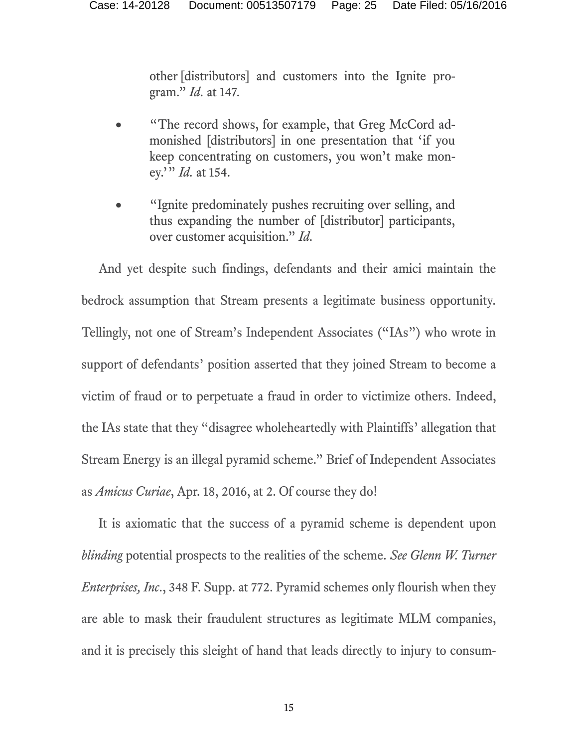other [distributors] and customers into the Ignite program." *Id.* at 147.

- "The record shows, for example, that Greg McCord admonished [distributors] in one presentation that 'if you keep concentrating on customers, you won't make money.'" *Id.* at 154.
- "Ignite predominately pushes recruiting over selling, and thus expanding the number of [distributor] participants, over customer acquisition." *Id.*

And yet despite such findings, defendants and their amici maintain the bedrock assumption that Stream presents a legitimate business opportunity. Tellingly, not one of Stream's Independent Associates ("IAs") who wrote in support of defendants' position asserted that they joined Stream to become a victim of fraud or to perpetuate a fraud in order to victimize others. Indeed, the IAs state that they "disagree wholeheartedly with Plaintiffs' allegation that Stream Energy is an illegal pyramid scheme." Brief of Independent Associates as *Amicus Curiae*, Apr. 18, 2016, at 2. Of course they do!

It is axiomatic that the success of a pyramid scheme is dependent upon *blinding* potential prospects to the realities of the scheme. *See Glenn W. Turner Enterprises, Inc*., 348 F. Supp. at 772. Pyramid schemes only flourish when they are able to mask their fraudulent structures as legitimate MLM companies, and it is precisely this sleight of hand that leads directly to injury to consum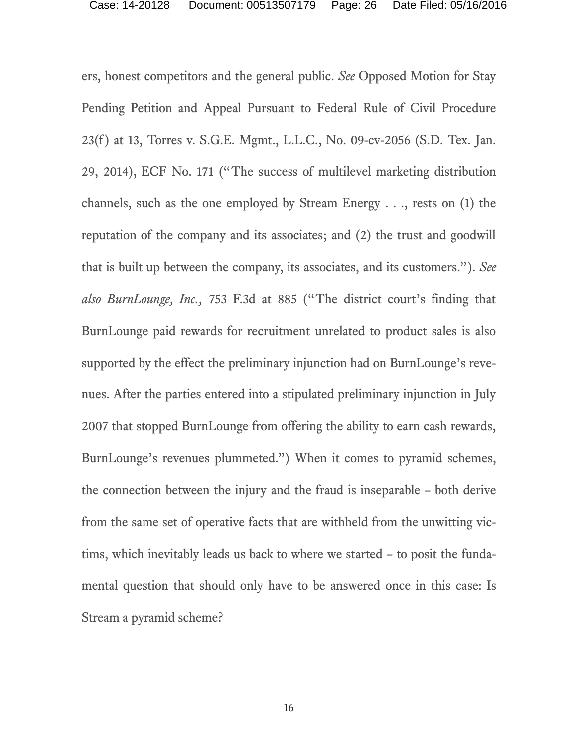ers, honest competitors and the general public. *See* Opposed Motion for Stay Pending Petition and Appeal Pursuant to Federal Rule of Civil Procedure 23(f) at 13, Torres v. S.G.E. Mgmt., L.L.C., No. 09-cv-2056 (S.D. Tex. Jan. 29, 2014), ECF No. 171 ("The success of multilevel marketing distribution channels, such as the one employed by Stream Energy . . ., rests on (1) the reputation of the company and its associates; and (2) the trust and goodwill that is built up between the company, its associates, and its customers."). *See also BurnLounge, Inc.,* 753 F.3d at 885 ("The district court's finding that BurnLounge paid rewards for recruitment unrelated to product sales is also supported by the effect the preliminary injunction had on BurnLounge's revenues. After the parties entered into a stipulated preliminary injunction in July 2007 that stopped BurnLounge from offering the ability to earn cash rewards, BurnLounge's revenues plummeted.") When it comes to pyramid schemes, the connection between the injury and the fraud is inseparable – both derive from the same set of operative facts that are withheld from the unwitting victims, which inevitably leads us back to where we started – to posit the fundamental question that should only have to be answered once in this case: Is Stream a pyramid scheme?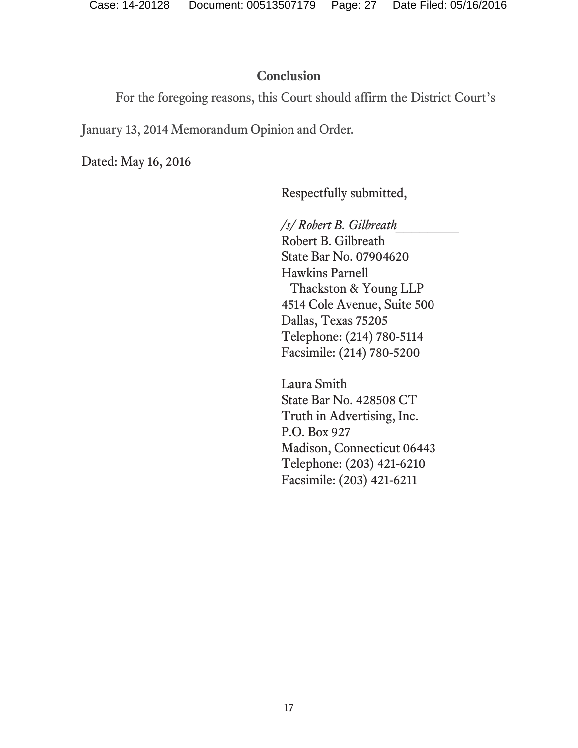#### **Conclusion**

For the foregoing reasons, this Court should affirm the District Court's

January 13, 2014 Memorandum Opinion and Order.

Dated: May 16, 2016

Respectfully submitted,

*/s/ Robert B. Gilbreath\_\_\_\_\_\_\_\_* 

Robert B. Gilbreath State Bar No. 07904620 Hawkins Parnell Thackston & Young LLP 4514 Cole Avenue, Suite 500 Dallas, Texas 75205 Telephone: (214) 780-5114 Facsimile: (214) 780-5200

Laura Smith State Bar No. 428508 CT Truth in Advertising, Inc. P.O. Box 927 Madison, Connecticut 06443 Telephone: (203) 421-6210 Facsimile: (203) 421-6211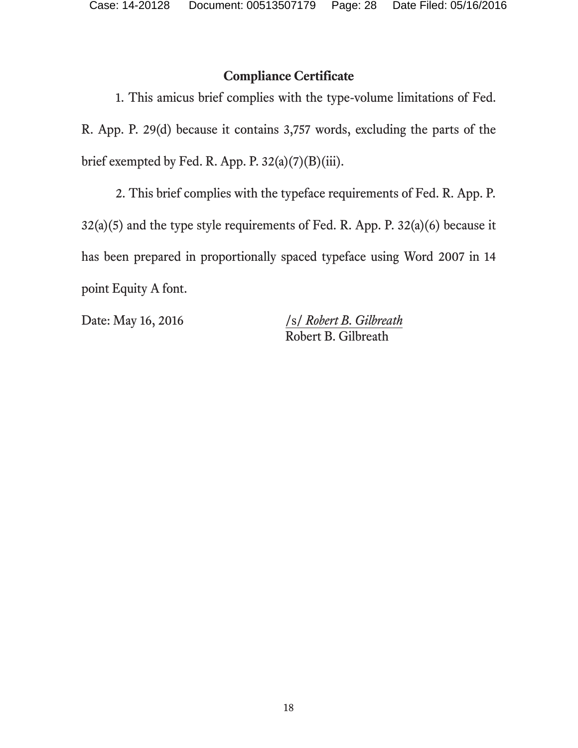#### **Compliance Certificate**

1. This amicus brief complies with the type-volume limitations of Fed. R. App. P. 29(d) because it contains 3,757 words, excluding the parts of the brief exempted by Fed. R. App. P.  $32(a)(7)(B)(iii)$ .

2. This brief complies with the typeface requirements of Fed. R. App. P. 32(a)(5) and the type style requirements of Fed. R. App. P. 32(a)(6) because it has been prepared in proportionally spaced typeface using Word 2007 in 14 point Equity A font.

Date: May 16, 2016 /s/ *Robert B. Gilbreath* Robert B. Gilbreath